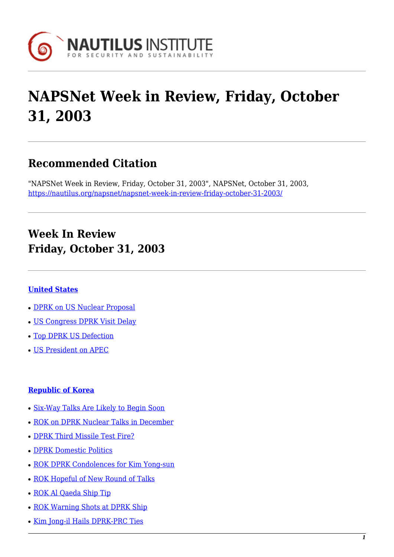

# **NAPSNet Week in Review, Friday, October 31, 2003**

# **Recommended Citation**

"NAPSNet Week in Review, Friday, October 31, 2003", NAPSNet, October 31, 2003, <https://nautilus.org/napsnet/napsnet-week-in-review-friday-october-31-2003/>

# **Week In Review Friday, October 31, 2003**

#### **[United States](https://nautilus.org/?p=45488&preview=true/#A)**

- [DPRK on US Nuclear Proposal](https://nautilus.org/?p=45488&preview=true/#A1)
- [US Congress DPRK Visit Delay](https://nautilus.org/?p=45488&preview=true/#A2)
- [Top DPRK US Defection](https://nautilus.org/?p=45488&preview=true/#A3)
- [US President on APEC](https://nautilus.org/?p=45488&preview=true/#A4)

#### **[Republic of Korea](https://nautilus.org/?p=45488&preview=true/#B)**

- [Six-Way Talks Are Likely to Begin Soon](https://nautilus.org/?p=45488&preview=true/#B1)
- [ROK on DPRK Nuclear Talks in December](https://nautilus.org/?p=45488&preview=true/#B2)
- [DPRK Third Missile Test Fire?](https://nautilus.org/?p=45488&preview=true/#B3)
- [DPRK Domestic Politics](https://nautilus.org/?p=45488&preview=true/#B4)
- [ROK DPRK Condolences for Kim Yong-sun](https://nautilus.org/?p=45488&preview=true/#B5)
- [ROK Hopeful of New Round of Talks](https://nautilus.org/?p=45488&preview=true/#B6)
- [ROK Al Qaeda Ship Tip](https://nautilus.org/?p=45488&preview=true/#B7)
- [ROK Warning Shots at DPRK Ship](https://nautilus.org/?p=45488&preview=true/#B8)
- [Kim Jong-il Hails DPRK-PRC Ties](https://nautilus.org/?p=45488&preview=true/#B9)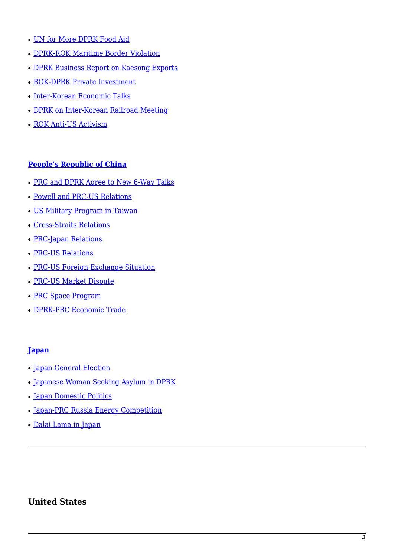- [UN for More DPRK Food Aid](https://nautilus.org/?p=45488&preview=true/#B10)
- [DPRK-ROK Maritime Border Violation](https://nautilus.org/?p=45488&preview=true/#B11)
- [DPRK Business Report on Kaesong Exports](https://nautilus.org/?p=45488&preview=true/#B12)
- [ROK-DPRK Private Investment](https://nautilus.org/?p=45488&preview=true/#B13)
- [Inter-Korean Economic Talks](https://nautilus.org/?p=45488&preview=true/#B14)
- [DPRK on Inter-Korean Railroad Meeting](https://nautilus.org/?p=45488&preview=true/#B15)
- [ROK Anti-US Activism](https://nautilus.org/?p=45488&preview=true/#B16)

#### **[People's Republic of China](https://nautilus.org/?p=45488&preview=true/#C)**

- [PRC and DPRK Agree to New 6-Way Talks](https://nautilus.org/?p=45488&preview=true/#C1)
- [Powell and PRC-US Relations](https://nautilus.org/?p=45488&preview=true/#C2)
- [US Military Program in Taiwan](https://nautilus.org/?p=45488&preview=true/#C3)
- [Cross-Straits Relations](https://nautilus.org/?p=45488&preview=true/#C4)
- [PRC-Japan Relations](https://nautilus.org/?p=45488&preview=true/#C5)
- [PRC-US Relations](https://nautilus.org/?p=45488&preview=true/#C6)
- [PRC-US Foreign Exchange Situation](https://nautilus.org/?p=45488&preview=true/#C7)
- [PRC-US Market Dispute](https://nautilus.org/?p=45488&preview=true/#C8)
- [PRC Space Program](https://nautilus.org/?p=45488&preview=true/#C9)
- [DPRK-PRC Economic Trade](https://nautilus.org/?p=45488&preview=true/#C10)

#### **[Japan](https://nautilus.org/?p=45488&preview=true/#D)**

- [Japan General Election](https://nautilus.org/?p=45488&preview=true/#D1)
- [Japanese Woman Seeking Asylum in DPRK](https://nautilus.org/?p=45488&preview=true/#D2)
- [Japan Domestic Politics](https://nautilus.org/?p=45488&preview=true/#D3)
- [Japan-PRC Russia Energy Competition](https://nautilus.org/?p=45488&preview=true/#D4)
- [Dalai Lama in Japan](https://nautilus.org/?p=45488&preview=true/#D5)

# **United States**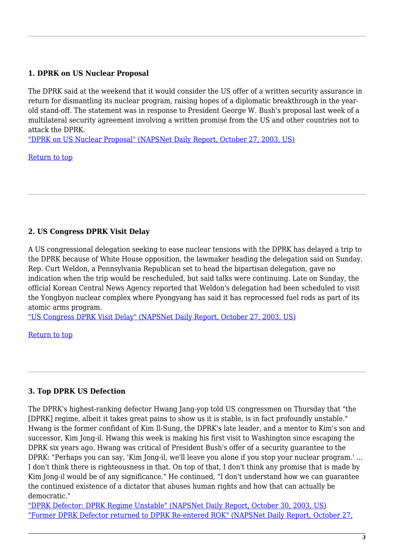#### **1. DPRK on US Nuclear Proposal**

The DPRK said at the weekend that it would consider the US offer of a written security assurance in return for dismantling its nuclear program, raising hopes of a diplomatic breakthrough in the yearold stand-off. The statement was in response to President George W. Bush's proposal last week of a multilateral security agreement involving a written promise from the US and other countries not to attack the DPRK.

["DPRK on US Nuclear Proposal" \(NAPSNet Daily Report, October 27, 2003, US\)](https://nautilus.org/napsnet/napsnet-daily-report/napsnet-daily-report-27-october-2003/#item3)

[Return to top](https://nautilus.org/?p=45488&preview=true/#top)

# **2. US Congress DPRK Visit Delay**

A US congressional delegation seeking to ease nuclear tensions with the DPRK has delayed a trip to the DPRK because of White House opposition, the lawmaker heading the delegation said on Sunday. Rep. Curt Weldon, a Pennsylvania Republican set to head the bipartisan delegation, gave no indication when the trip would be rescheduled, but said talks were continuing. Late on Sunday, the official Korean Central News Agency reported that Weldon's delegation had been scheduled to visit the Yongbyon nuclear complex where Pyongyang has said it has reprocessed fuel rods as part of its atomic arms program.

["US Congress DPRK Visit Delay" \(NAPSNet Daily Report, October 27, 2003, US\)](https://nautilus.org/napsnet/napsnet-daily-report/napsnet-daily-report-27-october-2003/#item2)

[Return to top](https://nautilus.org/?p=45488&preview=true/#top)

# **3. Top DPRK US Defection**

The DPRK's highest-ranking defector Hwang Jang-yop told US congressmen on Thursday that "the [DPRK] regime, albeit it takes great pains to show us it is stable, is in fact profoundly unstable." Hwang is the former confidant of Kim Il-Sung, the DPRK's late leader, and a mentor to Kim's son and successor, Kim Jong-il. Hwang this week is making his first visit to Washington since escaping the DPRK six years ago. Hwang was critical of President Bush's offer of a security guarantee to the DPRK: "Perhaps you can say, 'Kim Jong-il, we'll leave you alone if you stop your nuclear program.' ... I don't think there is righteousness in that. On top of that, I don't think any promise that is made by Kim Jong-il would be of any significance." He continued, "I don't understand how we can guarantee the continued existence of a dictator that abuses human rights and how that can actually be democratic."

["DPRK Defector: DPRK Regime Unstable" \(NAPSNet Daily Report, October 30, 2003, US\)](https://nautilus.org/napsnet/napsnet-daily-report/napsnet-daily-report-30-october-2003/#item4) ["Former DPRK Defector returned to DPRK Re-entered ROK" \(NAPSNet Daily Report, October 27,](https://nautilus.org/napsnet/napsnet-daily-report/napsnet-daily-report-27-october-2003/#item15)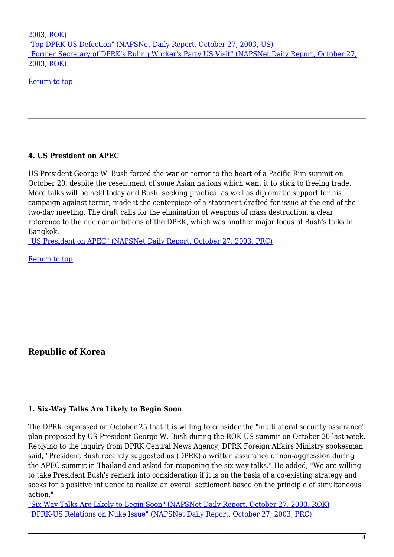#### [2003, ROK\)](https://nautilus.org/napsnet/napsnet-daily-report/napsnet-daily-report-27-october-2003/#item15) ["Top DPRK US Defection" \(NAPSNet Daily Report, October 27, 2003, US\)](https://nautilus.org/napsnet/napsnet-daily-report/napsnet-daily-report-27-october-2003/#item4) ["Former Secretary of DPRK's Ruling Worker's Party US Visit" \(NAPSNet Daily Report, October 27,](https://nautilus.org/napsnet/napsnet-daily-report/napsnet-daily-report-27-october-2003/#item17) [2003, ROK\)](https://nautilus.org/napsnet/napsnet-daily-report/napsnet-daily-report-27-october-2003/#item17)

[Return to top](https://nautilus.org/?p=45488&preview=true/#top)

#### **4. US President on APEC**

US President George W. Bush forced the war on terror to the heart of a Pacific Rim summit on October 20, despite the resentment of some Asian nations which want it to stick to freeing trade. More talks will be held today and Bush, seeking practical as well as diplomatic support for his campaign against terror, made it the centerpiece of a statement drafted for issue at the end of the two-day meeting. The draft calls for the elimination of weapons of mass destruction, a clear reference to the nuclear ambitions of the DPRK, which was another major focus of Bush's talks in Bangkok.

["US President on APEC" \(NAPSNet Daily Report, October 27, 2003, PRC\)](https://nautilus.org/napsnet/napsnet-daily-report/napsnet-daily-report-27-october-2003/#item25)

[Return to top](https://nautilus.org/?p=45488&preview=true/#top)

**Republic of Korea**

# **1. Six-Way Talks Are Likely to Begin Soon**

The DPRK expressed on October 25 that it is willing to consider the "multilateral security assurance" plan proposed by US President George W. Bush during the ROK-US summit on October 20 last week. Replying to the inquiry from DPRK Central News Agency, DPRK Foreign Affairs Ministry spokesman said, "President Bush recently suggested us (DPRK) a written assurance of non-aggression during the APEC summit in Thailand and asked for reopening the six-way talks." He added, "We are willing to take President Bush's remark into consideration if it is on the basis of a co-existing strategy and seeks for a positive influence to realize an overall settlement based on the principle of simultaneous action."

["Six-Way Talks Are Likely to Begin Soon" \(NAPSNet Daily Report, October 27, 2003, ROK\)](https://nautilus.org/napsnet/napsnet-daily-report/napsnet-daily-report-27-october-2003/#item18) ["DPRK-US Relations on Nuke Issue" \(NAPSNet Daily Report, October 27, 2003, PRC\)](https://nautilus.org/napsnet/napsnet-daily-report/napsnet-daily-report-27-october-2003/#item21)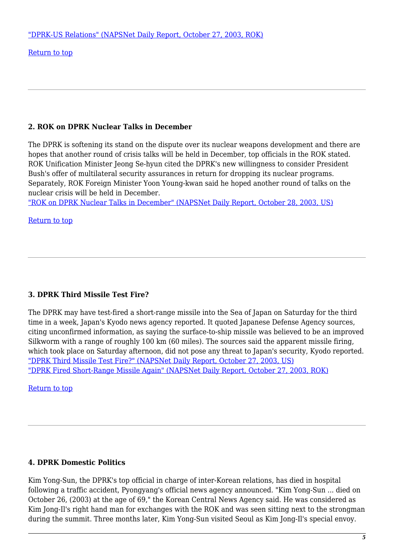[Return to top](https://nautilus.org/?p=45488&preview=true/#top)

#### **2. ROK on DPRK Nuclear Talks in December**

The DPRK is softening its stand on the dispute over its nuclear weapons development and there are hopes that another round of crisis talks will be held in December, top officials in the ROK stated. ROK Unification Minister Jeong Se-hyun cited the DPRK's new willingness to consider President Bush's offer of multilateral security assurances in return for dropping its nuclear programs. Separately, ROK Foreign Minister Yoon Young-kwan said he hoped another round of talks on the nuclear crisis will be held in December.

["ROK on DPRK Nuclear Talks in December" \(NAPSNet Daily Report, October 28, 2003, US\)](https://nautilus.org/napsnet/napsnet-daily-report/napsnet-daily-report-28-october-2003/#item1)

[Return to top](https://nautilus.org/?p=45488&preview=true/#top)

# **3. DPRK Third Missile Test Fire?**

The DPRK may have test-fired a short-range missile into the Sea of Japan on Saturday for the third time in a week, Japan's Kyodo news agency reported. It quoted Japanese Defense Agency sources, citing unconfirmed information, as saying the surface-to-ship missile was believed to be an improved Silkworm with a range of roughly 100 km (60 miles). The sources said the apparent missile firing, which took place on Saturday afternoon, did not pose any threat to Japan's security, Kyodo reported. ["DPRK Third Missile Test Fire?" \(NAPSNet Daily Report, October 27, 2003, US\)](https://nautilus.org/napsnet/napsnet-daily-report/napsnet-daily-report-27-october-2003/#item1) ["DPRK Fired Short-Range Missile Again" \(NAPSNet Daily Report, October 27, 2003, ROK\)](https://nautilus.org/napsnet/napsnet-daily-report/napsnet-daily-report-27-october-2003/#item20)

[Return to top](https://nautilus.org/?p=45488&preview=true/#top)

#### **4. DPRK Domestic Politics**

Kim Yong-Sun, the DPRK's top official in charge of inter-Korean relations, has died in hospital following a traffic accident, Pyongyang's official news agency announced. "Kim Yong-Sun ... died on October 26, (2003) at the age of 69," the Korean Central News Agency said. He was considered as Kim Jong-Il's right hand man for exchanges with the ROK and was seen sitting next to the strongman during the summit. Three months later, Kim Yong-Sun visited Seoul as Kim Jong-Il's special envoy.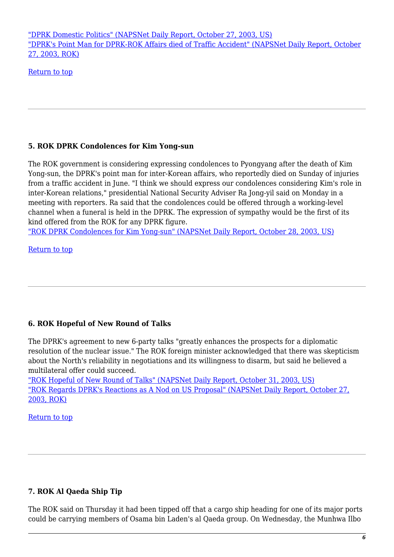["DPRK Domestic Politics" \(NAPSNet Daily Report, October 27, 2003, US\)](https://nautilus.org/napsnet/napsnet-daily-report/napsnet-daily-report-27-october-2003/#item5) ["DPRK's Point Man for DPRK-ROK Affairs died of Traffic Accident" \(NAPSNet Daily Report, October](https://nautilus.org/napsnet/napsnet-daily-report/napsnet-daily-report-27-october-2003/#item19) [27, 2003, ROK\)](https://nautilus.org/napsnet/napsnet-daily-report/napsnet-daily-report-27-october-2003/#item19)

[Return to top](https://nautilus.org/?p=45488&preview=true/#top)

#### **5. ROK DPRK Condolences for Kim Yong-sun**

The ROK government is considering expressing condolences to Pyongyang after the death of Kim Yong-sun, the DPRK's point man for inter-Korean affairs, who reportedly died on Sunday of injuries from a traffic accident in June. "I think we should express our condolences considering Kim's role in inter-Korean relations," presidential National Security Adviser Ra Jong-yil said on Monday in a meeting with reporters. Ra said that the condolences could be offered through a working-level channel when a funeral is held in the DPRK. The expression of sympathy would be the first of its kind offered from the ROK for any DPRK figure.

["ROK DPRK Condolences for Kim Yong-sun" \(NAPSNet Daily Report, October 28, 2003, US\)](https://nautilus.org/napsnet/napsnet-daily-report/napsnet-daily-report-28-october-2003/#item2)

[Return to top](https://nautilus.org/?p=45488&preview=true/#top)

# **6. ROK Hopeful of New Round of Talks**

The DPRK's agreement to new 6-party talks "greatly enhances the prospects for a diplomatic resolution of the nuclear issue." The ROK foreign minister acknowledged that there was skepticism about the North's reliability in negotiations and its willingness to disarm, but said he believed a multilateral offer could succeed.

["ROK Hopeful of New Round of Talks" \(NAPSNet Daily Report, October 31, 2003, US\)](https://nautilus.org/napsnet/napsnet-daily-report/napsnet-daily-report-31-october-2003/#item3) ["ROK Regards DPRK's Reactions as A Nod on US Proposal" \(NAPSNet Daily Report, October 27,](https://nautilus.org/napsnet/napsnet-daily-report/napsnet-daily-report-27-october-2003/#item16) [2003, ROK\)](https://nautilus.org/napsnet/napsnet-daily-report/napsnet-daily-report-27-october-2003/#item16)

[Return to top](https://nautilus.org/?p=45488&preview=true/#top)

#### **7. ROK Al Qaeda Ship Tip**

The ROK said on Thursday it had been tipped off that a cargo ship heading for one of its major ports could be carrying members of Osama bin Laden's al Qaeda group. On Wednesday, the Munhwa Ilbo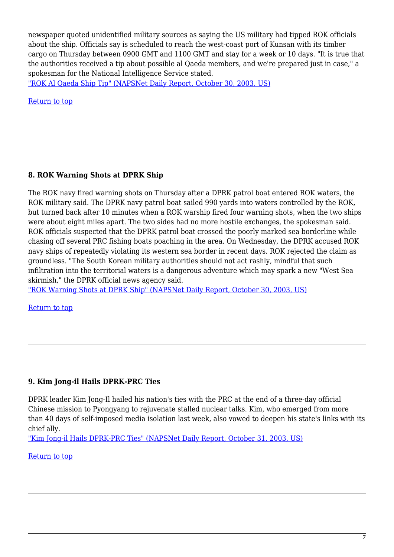newspaper quoted unidentified military sources as saying the US military had tipped ROK officials about the ship. Officials say is scheduled to reach the west-coast port of Kunsan with its timber cargo on Thursday between 0900 GMT and 1100 GMT and stay for a week or 10 days. "It is true that the authorities received a tip about possible al Qaeda members, and we're prepared just in case," a spokesman for the National Intelligence Service stated.

["ROK Al Qaeda Ship Tip" \(NAPSNet Daily Report, October 30, 2003, US\)](https://nautilus.org/napsnet/napsnet-daily-report/napsnet-daily-report-30-october-2003/#item6)

[Return to top](https://nautilus.org/?p=45488&preview=true/#top)

# **8. ROK Warning Shots at DPRK Ship**

The ROK navy fired warning shots on Thursday after a DPRK patrol boat entered ROK waters, the ROK military said. The DPRK navy patrol boat sailed 990 yards into waters controlled by the ROK, but turned back after 10 minutes when a ROK warship fired four warning shots, when the two ships were about eight miles apart. The two sides had no more hostile exchanges, the spokesman said. ROK officials suspected that the DPRK patrol boat crossed the poorly marked sea borderline while chasing off several PRC fishing boats poaching in the area. On Wednesday, the DPRK accused ROK navy ships of repeatedly violating its western sea border in recent days. ROK rejected the claim as groundless. "The South Korean military authorities should not act rashly, mindful that such infiltration into the territorial waters is a dangerous adventure which may spark a new "West Sea skirmish," the DPRK official news agency said.

["ROK Warning Shots at DPRK Ship" \(NAPSNet Daily Report, October 30, 2003, US\)](https://nautilus.org/napsnet/napsnet-daily-report/napsnet-daily-report-30-october-2003/#item7)

[Return to top](https://nautilus.org/?p=45488&preview=true/#top)

# **9. Kim Jong-il Hails DPRK-PRC Ties**

DPRK leader Kim Jong-Il hailed his nation's ties with the PRC at the end of a three-day official Chinese mission to Pyongyang to rejuvenate stalled nuclear talks. Kim, who emerged from more than 40 days of self-imposed media isolation last week, also vowed to deepen his state's links with its chief ally.

["Kim Jong-il Hails DPRK-PRC Ties" \(NAPSNet Daily Report, October 31, 2003, US\)](https://nautilus.org/napsnet/napsnet-daily-report/napsnet-daily-report-31-october-2003/#item2)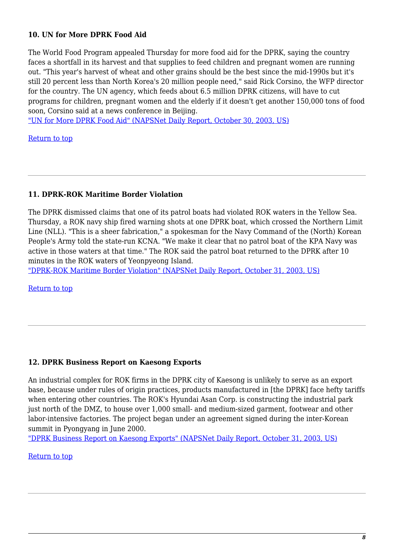#### **10. UN for More DPRK Food Aid**

The World Food Program appealed Thursday for more food aid for the DPRK, saying the country faces a shortfall in its harvest and that supplies to feed children and pregnant women are running out. "This year's harvest of wheat and other grains should be the best since the mid-1990s but it's still 20 percent less than North Korea's 20 million people need," said Rick Corsino, the WFP director for the country. The UN agency, which feeds about 6.5 million DPRK citizens, will have to cut programs for children, pregnant women and the elderly if it doesn't get another 150,000 tons of food soon, Corsino said at a news conference in Beijing.

["UN for More DPRK Food Aid" \(NAPSNet Daily Report, October 30, 2003, US\)](https://nautilus.org/napsnet/napsnet-daily-report/napsnet-daily-report-30-october-2003/#item5)

[Return to top](https://nautilus.org/?p=45488&preview=true/#top)

#### **11. DPRK-ROK Maritime Border Violation**

The DPRK dismissed claims that one of its patrol boats had violated ROK waters in the Yellow Sea. Thursday, a ROK navy ship fired warning shots at one DPRK boat, which crossed the Northern Limit Line (NLL). "This is a sheer fabrication," a spokesman for the Navy Command of the (North) Korean People's Army told the state-run KCNA. "We make it clear that no patrol boat of the KPA Navy was active in those waters at that time." The ROK said the patrol boat returned to the DPRK after 10 minutes in the ROK waters of Yeonpyeong Island.

["DPRK-ROK Maritime Border Violation" \(NAPSNet Daily Report, October 31, 2003, US\)](https://nautilus.org/napsnet/napsnet-daily-report/napsnet-daily-report-31-october-2003/#item5)

[Return to top](https://nautilus.org/?p=45488&preview=true/#top)

#### **12. DPRK Business Report on Kaesong Exports**

An industrial complex for ROK firms in the DPRK city of Kaesong is unlikely to serve as an export base, because under rules of origin practices, products manufactured in [the DPRK] face hefty tariffs when entering other countries. The ROK's Hyundai Asan Corp. is constructing the industrial park just north of the DMZ, to house over 1,000 small- and medium-sized garment, footwear and other labor-intensive factories. The project began under an agreement signed during the inter-Korean summit in Pyongyang in June 2000.

["DPRK Business Report on Kaesong Exports" \(NAPSNet Daily Report, October 31, 2003, US\)](https://nautilus.org/napsnet/napsnet-daily-report/napsnet-daily-report-31-october-2003/#item6)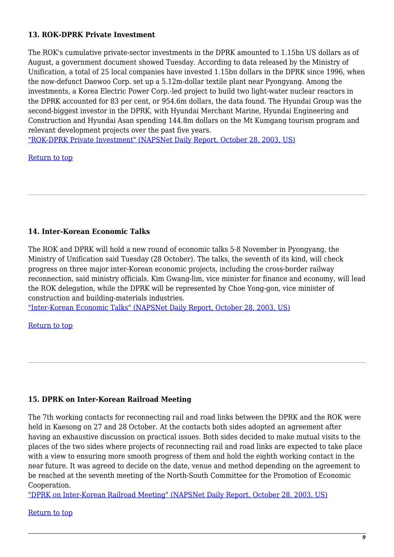#### **13. ROK-DPRK Private Investment**

The ROK's cumulative private-sector investments in the DPRK amounted to 1.15bn US dollars as of August, a government document showed Tuesday. According to data released by the Ministry of Unification, a total of 25 local companies have invested 1.15bn dollars in the DPRK since 1996, when the now-defunct Daewoo Corp. set up a 5.12m-dollar textile plant near Pyongyang. Among the investments, a Korea Electric Power Corp.-led project to build two light-water nuclear reactors in the DPRK accounted for 83 per cent, or 954.6m dollars, the data found. The Hyundai Group was the second-biggest investor in the DPRK, with Hyundai Merchant Marine, Hyundai Engineering and Construction and Hyundai Asan spending 144.8m dollars on the Mt Kumgang tourism program and relevant development projects over the past five years.

["ROK-DPRK Private Investment" \(NAPSNet Daily Report, October 28, 2003, US\)](https://nautilus.org/napsnet/napsnet-daily-report/napsnet-daily-report-28-october-2003/#item3)

[Return to top](https://nautilus.org/?p=45488&preview=true/#top)

# **14. Inter-Korean Economic Talks**

The ROK and DPRK will hold a new round of economic talks 5-8 November in Pyongyang, the Ministry of Unification said Tuesday (28 October). The talks, the seventh of its kind, will check progress on three major inter-Korean economic projects, including the cross-border railway reconnection, said ministry officials. Kim Gwang-lim, vice minister for finance and economy, will lead the ROK delegation, while the DPRK will be represented by Choe Yong-gon, vice minister of construction and building-materials industries.

["Inter-Korean Economic Talks" \(NAPSNet Daily Report, October 28, 2003, US\)](https://nautilus.org/napsnet/napsnet-daily-report/napsnet-daily-report-28-october-2003/#item4)

[Return to top](https://nautilus.org/?p=45488&preview=true/#top)

#### **15. DPRK on Inter-Korean Railroad Meeting**

The 7th working contacts for reconnecting rail and road links between the DPRK and the ROK were held in Kaesong on 27 and 28 October. At the contacts both sides adopted an agreement after having an exhaustive discussion on practical issues. Both sides decided to make mutual visits to the places of the two sides where projects of reconnecting rail and road links are expected to take place with a view to ensuring more smooth progress of them and hold the eighth working contact in the near future. It was agreed to decide on the date, venue and method depending on the agreement to be reached at the seventh meeting of the North-South Committee for the Promotion of Economic Cooperation.

["DPRK on Inter-Korean Railroad Meeting" \(NAPSNet Daily Report, October 28, 2003, US\)](https://nautilus.org/napsnet/napsnet-daily-report/napsnet-daily-report-28-october-2003/#item7)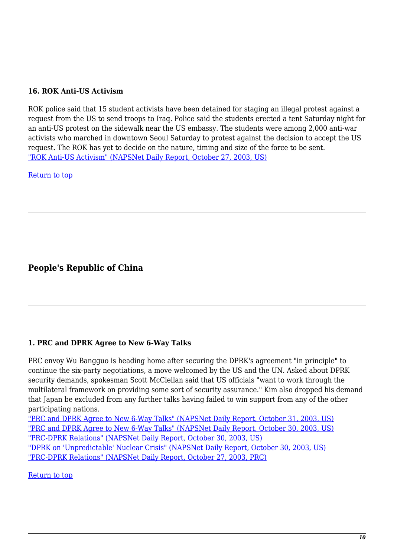#### **16. ROK Anti-US Activism**

ROK police said that 15 student activists have been detained for staging an illegal protest against a request from the US to send troops to Iraq. Police said the students erected a tent Saturday night for an anti-US protest on the sidewalk near the US embassy. The students were among 2,000 anti-war activists who marched in downtown Seoul Saturday to protest against the decision to accept the US request. The ROK has yet to decide on the nature, timing and size of the force to be sent. ["ROK Anti-US Activism" \(NAPSNet Daily Report, October 27, 2003, US\)](https://nautilus.org/napsnet/napsnet-daily-report/napsnet-daily-report-27-october-2003/#item11)

[Return to top](https://nautilus.org/?p=45488&preview=true/#top)

# **People's Republic of China**

#### **1. PRC and DPRK Agree to New 6-Way Talks**

PRC envoy Wu Bangguo is heading home after securing the DPRK's agreement "in principle" to continue the six-party negotiations, a move welcomed by the US and the UN. Asked about DPRK security demands, spokesman Scott McClellan said that US officials "want to work through the multilateral framework on providing some sort of security assurance." Kim also dropped his demand that Japan be excluded from any further talks having failed to win support from any of the other participating nations.

["PRC and DPRK Agree to New 6-Way Talks" \(NAPSNet Daily Report, October 31, 2003, US\)](https://nautilus.org/napsnet/napsnet-daily-report/napsnet-daily-report-31-october-2003/#item1) ["PRC and DPRK Agree to New 6-Way Talks" \(NAPSNet Daily Report, October 30, 2003, US\)](https://nautilus.org/napsnet/napsnet-daily-report/napsnet-daily-report-30-october-2003/#item1) ["PRC-DPRK Relations" \(NAPSNet Daily Report, October 30, 2003, US\)](https://nautilus.org/napsnet/napsnet-daily-report/napsnet-daily-report-30-october-2003/#item2) ["DPRK on 'Unpredictable' Nuclear Crisis" \(NAPSNet Daily Report, October 30, 2003, US\)](https://nautilus.org/napsnet/napsnet-daily-report/napsnet-daily-report-30-october-2003/#item3) ["PRC-DPRK Relations" \(NAPSNet Daily Report, October 27, 2003, PRC\)](https://nautilus.org/napsnet/napsnet-daily-report/napsnet-daily-report-27-october-2003/#item22)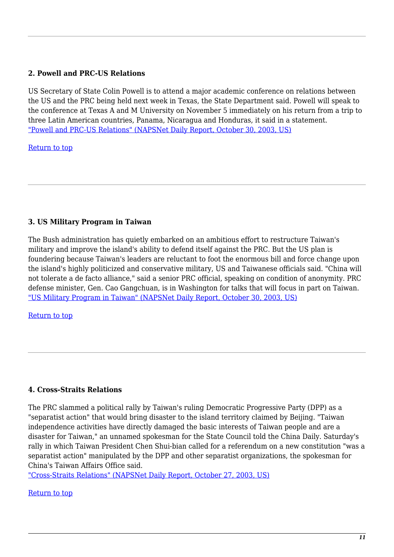#### **2. Powell and PRC-US Relations**

US Secretary of State Colin Powell is to attend a major academic conference on relations between the US and the PRC being held next week in Texas, the State Department said. Powell will speak to the conference at Texas A and M University on November 5 immediately on his return from a trip to three Latin American countries, Panama, Nicaragua and Honduras, it said in a statement. ["Powell and PRC-US Relations" \(NAPSNet Daily Report, October 30, 2003, US\)](https://nautilus.org/napsnet/napsnet-daily-report/napsnet-daily-report-30-october-2003/#item10)

#### [Return to top](https://nautilus.org/?p=45488&preview=true/#top)

#### **3. US Military Program in Taiwan**

The Bush administration has quietly embarked on an ambitious effort to restructure Taiwan's military and improve the island's ability to defend itself against the PRC. But the US plan is foundering because Taiwan's leaders are reluctant to foot the enormous bill and force change upon the island's highly politicized and conservative military, US and Taiwanese officials said. "China will not tolerate a de facto alliance," said a senior PRC official, speaking on condition of anonymity. PRC defense minister, Gen. Cao Gangchuan, is in Washington for talks that will focus in part on Taiwan. ["US Military Program in Taiwan" \(NAPSNet Daily Report, October 30, 2003, US\)](https://nautilus.org/napsnet/napsnet-daily-report/napsnet-daily-report-30-october-2003/#item11)

[Return to top](https://nautilus.org/?p=45488&preview=true/#top)

#### **4. Cross-Straits Relations**

The PRC slammed a political rally by Taiwan's ruling Democratic Progressive Party (DPP) as a "separatist action" that would bring disaster to the island territory claimed by Beijing. "Taiwan independence activities have directly damaged the basic interests of Taiwan people and are a disaster for Taiwan," an unnamed spokesman for the State Council told the China Daily. Saturday's rally in which Taiwan President Chen Shui-bian called for a referendum on a new constitution "was a separatist action" manipulated by the DPP and other separatist organizations, the spokesman for China's Taiwan Affairs Office said.

["Cross-Straits Relations" \(NAPSNet Daily Report, October 27, 2003, US\)](https://nautilus.org/napsnet/napsnet-daily-report/napsnet-daily-report-27-october-2003/#item7)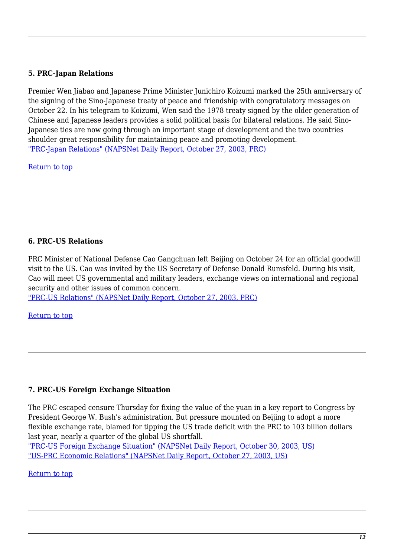#### **5. PRC-Japan Relations**

Premier Wen Jiabao and Japanese Prime Minister Junichiro Koizumi marked the 25th anniversary of the signing of the Sino-Japanese treaty of peace and friendship with congratulatory messages on October 22. In his telegram to Koizumi, Wen said the 1978 treaty signed by the older generation of Chinese and Japanese leaders provides a solid political basis for bilateral relations. He said Sino-Japanese ties are now going through an important stage of development and the two countries shoulder great responsibility for maintaining peace and promoting development. ["PRC-Japan Relations" \(NAPSNet Daily Report, October 27, 2003, PRC\)](https://nautilus.org/napsnet/napsnet-daily-report/napsnet-daily-report-27-october-2003/#item23)

[Return to top](https://nautilus.org/?p=45488&preview=true/#top)

#### **6. PRC-US Relations**

PRC Minister of National Defense Cao Gangchuan left Beijing on October 24 for an official goodwill visit to the US. Cao was invited by the US Secretary of Defense Donald Rumsfeld. During his visit, Cao will meet US governmental and military leaders, exchange views on international and regional security and other issues of common concern.

["PRC-US Relations" \(NAPSNet Daily Report, October 27, 2003, PRC\)](https://nautilus.org/napsnet/napsnet-daily-report/napsnet-daily-report-27-october-2003/#item24)

[Return to top](https://nautilus.org/?p=45488&preview=true/#top)

#### **7. PRC-US Foreign Exchange Situation**

The PRC escaped censure Thursday for fixing the value of the yuan in a key report to Congress by President George W. Bush's administration. But pressure mounted on Beijing to adopt a more flexible exchange rate, blamed for tipping the US trade deficit with the PRC to 103 billion dollars last year, nearly a quarter of the global US shortfall.

["PRC-US Foreign Exchange Situation" \(NAPSNet Daily Report, October 30, 2003, US\)](https://nautilus.org/napsnet/napsnet-daily-report/napsnet-daily-report-30-october-2003/#item9) ["US-PRC Economic Relations" \(NAPSNet Daily Report, October 27, 2003, US\)](https://nautilus.org/napsnet/napsnet-daily-report/napsnet-daily-report-27-october-2003/#item6)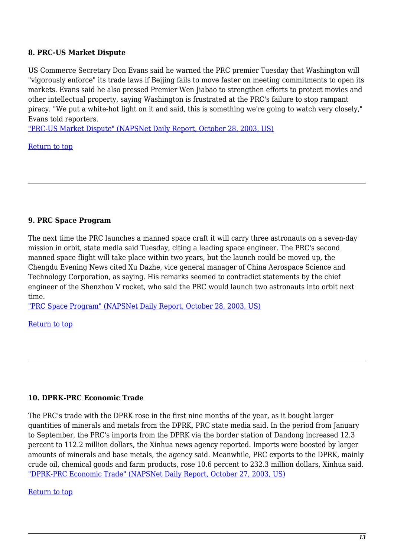#### **8. PRC-US Market Dispute**

US Commerce Secretary Don Evans said he warned the PRC premier Tuesday that Washington will "vigorously enforce" its trade laws if Beijing fails to move faster on meeting commitments to open its markets. Evans said he also pressed Premier Wen Jiabao to strengthen efforts to protect movies and other intellectual property, saying Washington is frustrated at the PRC's failure to stop rampant piracy. "We put a white-hot light on it and said, this is something we're going to watch very closely," Evans told reporters.

["PRC-US Market Dispute" \(NAPSNet Daily Report, October 28, 2003, US\)](https://nautilus.org/napsnet/napsnet-daily-report/napsnet-daily-report-28-october-2003/#item5)

[Return to top](https://nautilus.org/?p=45488&preview=true/#top)

#### **9. PRC Space Program**

The next time the PRC launches a manned space craft it will carry three astronauts on a seven-day mission in orbit, state media said Tuesday, citing a leading space engineer. The PRC's second manned space flight will take place within two years, but the launch could be moved up, the Chengdu Evening News cited Xu Dazhe, vice general manager of China Aerospace Science and Technology Corporation, as saying. His remarks seemed to contradict statements by the chief engineer of the Shenzhou V rocket, who said the PRC would launch two astronauts into orbit next time.

["PRC Space Program" \(NAPSNet Daily Report, October 28, 2003, US\)](https://nautilus.org/napsnet/napsnet-daily-report/napsnet-daily-report-28-october-2003/#item9)

[Return to top](https://nautilus.org/?p=45488&preview=true/#top)

#### **10. DPRK-PRC Economic Trade**

The PRC's trade with the DPRK rose in the first nine months of the year, as it bought larger quantities of minerals and metals from the DPRK, PRC state media said. In the period from January to September, the PRC's imports from the DPRK via the border station of Dandong increased 12.3 percent to 112.2 million dollars, the Xinhua news agency reported. Imports were boosted by larger amounts of minerals and base metals, the agency said. Meanwhile, PRC exports to the DPRK, mainly crude oil, chemical goods and farm products, rose 10.6 percent to 232.3 million dollars, Xinhua said. ["DPRK-PRC Economic Trade" \(NAPSNet Daily Report, October 27, 2003, US\)](https://nautilus.org/napsnet/napsnet-daily-report/napsnet-daily-report-27-october-2003/#item12)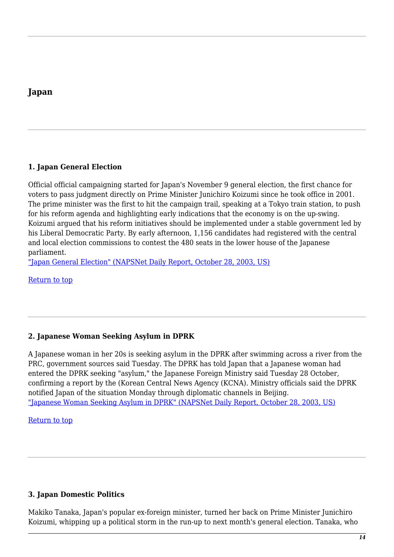# **Japan**

#### **1. Japan General Election**

Official official campaigning started for Japan's November 9 general election, the first chance for voters to pass judgment directly on Prime Minister Junichiro Koizumi since he took office in 2001. The prime minister was the first to hit the campaign trail, speaking at a Tokyo train station, to push for his reform agenda and highlighting early indications that the economy is on the up-swing. Koizumi argued that his reform initiatives should be implemented under a stable government led by his Liberal Democratic Party. By early afternoon, 1,156 candidates had registered with the central and local election commissions to contest the 480 seats in the lower house of the Japanese parliament.

["Japan General Election" \(NAPSNet Daily Report, October 28, 2003, US\)](https://nautilus.org/napsnet/napsnet-daily-report/napsnet-daily-report-28-october-2003/#item6)

[Return to top](https://nautilus.org/?p=45488&preview=true/#top)

# **2. Japanese Woman Seeking Asylum in DPRK**

A Japanese woman in her 20s is seeking asylum in the DPRK after swimming across a river from the PRC, government sources said Tuesday. The DPRK has told Japan that a Japanese woman had entered the DPRK seeking "asylum," the Japanese Foreign Ministry said Tuesday 28 October, confirming a report by the (Korean Central News Agency (KCNA). Ministry officials said the DPRK notified Japan of the situation Monday through diplomatic channels in Beijing. ["Japanese Woman Seeking Asylum in DPRK" \(NAPSNet Daily Report, October 28, 2003, US\)](https://nautilus.org/napsnet/napsnet-daily-report/napsnet-daily-report-28-october-2003/#item8)

[Return to top](https://nautilus.org/?p=45488&preview=true/#top)

#### **3. Japan Domestic Politics**

Makiko Tanaka, Japan's popular ex-foreign minister, turned her back on Prime Minister Junichiro Koizumi, whipping up a political storm in the run-up to next month's general election. Tanaka, who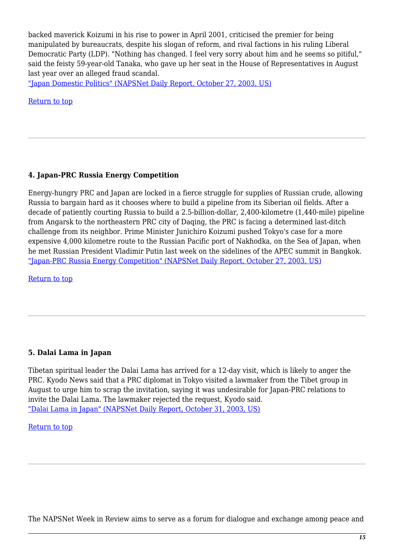backed maverick Koizumi in his rise to power in April 2001, criticised the premier for being manipulated by bureaucrats, despite his slogan of reform, and rival factions in his ruling Liberal Democratic Party (LDP). "Nothing has changed. I feel very sorry about him and he seems so pitiful," said the feisty 59-year-old Tanaka, who gave up her seat in the House of Representatives in August last year over an alleged fraud scandal.

["Japan Domestic Politics" \(NAPSNet Daily Report, October 27, 2003, US\)](https://nautilus.org/napsnet/napsnet-daily-report/napsnet-daily-report-27-october-2003/#item9)

[Return to top](https://nautilus.org/?p=45488&preview=true/#top)

#### **4. Japan-PRC Russia Energy Competition**

Energy-hungry PRC and Japan are locked in a fierce struggle for supplies of Russian crude, allowing Russia to bargain hard as it chooses where to build a pipeline from its Siberian oil fields. After a decade of patiently courting Russia to build a 2.5-billion-dollar, 2,400-kilometre (1,440-mile) pipeline from Angarsk to the northeastern PRC city of Daqing, the PRC is facing a determined last-ditch challenge from its neighbor. Prime Minister Junichiro Koizumi pushed Tokyo's case for a more expensive 4,000 kilometre route to the Russian Pacific port of Nakhodka, on the Sea of Japan, when he met Russian President Vladimir Putin last week on the sidelines of the APEC summit in Bangkok. ["Japan-PRC Russia Energy Competition" \(NAPSNet Daily Report, October 27, 2003, US\)](https://nautilus.org/napsnet/napsnet-daily-report/napsnet-daily-report-27-october-2003/#item10)

[Return to top](https://nautilus.org/?p=45488&preview=true/#top)

#### **5. Dalai Lama in Japan**

Tibetan spiritual leader the Dalai Lama has arrived for a 12-day visit, which is likely to anger the PRC. Kyodo News said that a PRC diplomat in Tokyo visited a lawmaker from the Tibet group in August to urge him to scrap the invitation, saying it was undesirable for Japan-PRC relations to invite the Dalai Lama. The lawmaker rejected the request, Kyodo said. ["Dalai Lama in Japan" \(NAPSNet Daily Report, October 31, 2003, US\)](https://nautilus.org/napsnet/napsnet-daily-report/napsnet-daily-report-31-october-2003/#item9)

#### [Return to top](https://nautilus.org/?p=45488&preview=true/#top)

The NAPSNet Week in Review aims to serve as a forum for dialogue and exchange among peace and